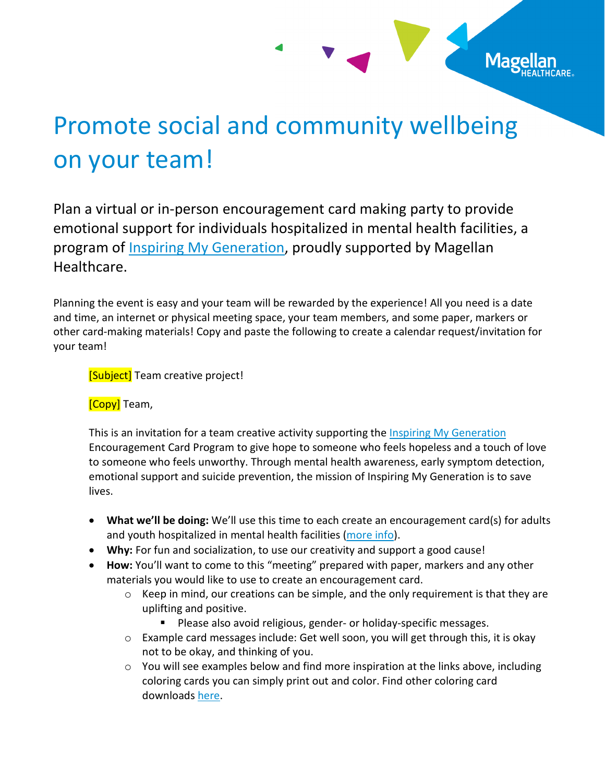## Promote social and community wellbeing on your team!

Plan a virtual or in-person encouragement card making party to provide emotional support for individuals hospitalized in mental health facilities, a program of [Inspiring My Generation,](https://inspiringmygeneration.org/) proudly supported by Magellan Healthcare.

Planning the event is easy and your team will be rewarded by the experience! All you need is a date and time, an internet or physical meeting space, your team members, and some paper, markers or other card-making materials! Copy and paste the following to create a calendar request/invitation for your team!

[Subject] Team creative project!

**[Copy]** Team,

This is an invitation for a team creative activity supporting the [Inspiring My Generation](https://inspiringmygeneration.org/) Encouragement Card Program to give hope to someone who feels hopeless and a touch of love to someone who feels unworthy. Through mental health awareness, early symptom detection, emotional support and suicide prevention, the mission of Inspiring My Generation is to save lives.

- **What we'll be doing:** We'll use this time to each create an encouragement card(s) for adults and youth hospitalized in mental health facilities [\(more info\)](https://inspiringmygeneration.org/encouragement-cards/).
- **Why:** For fun and socialization, to use our creativity and support a good cause!
- **How:** You'll want to come to this "meeting" prepared with paper, markers and any other materials you would like to use to create an encouragement card.
	- $\circ$  Keep in mind, our creations can be simple, and the only requirement is that they are uplifting and positive.
		- Please also avoid religious, gender- or holiday-specific messages.
	- o Example card messages include: Get well soon, you will get through this, it is okay not to be okay, and thinking of you.
	- $\circ$  You will see examples below and find more inspiration at the links above, including coloring cards you can simply print out and color. Find other coloring card downloads [here.](https://www.magellanhealthcare.com/documents/2022/03/mental-health-awareness-helping-others.pdf)